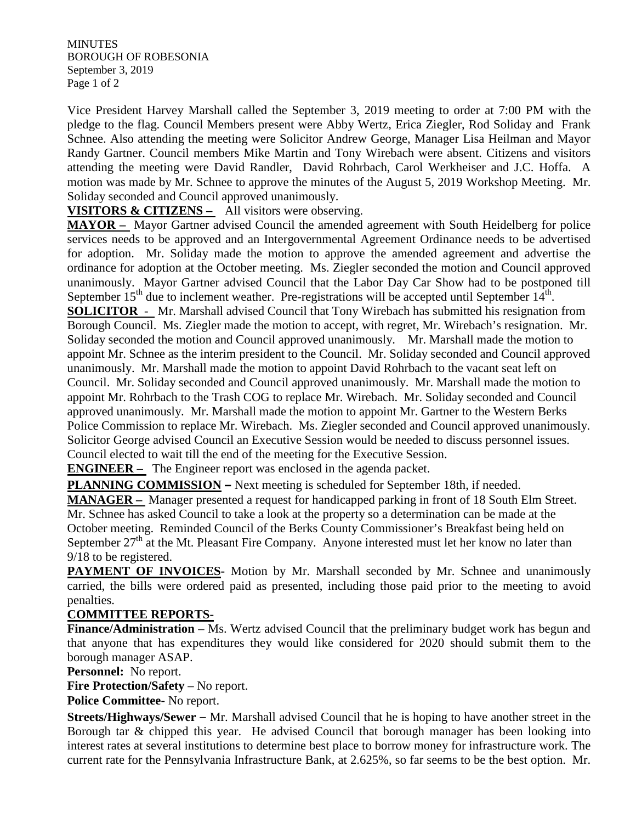**MINUTES** BOROUGH OF ROBESONIA September 3, 2019 Page 1 of 2

Vice President Harvey Marshall called the September 3, 2019 meeting to order at 7:00 PM with the pledge to the flag. Council Members present were Abby Wertz, Erica Ziegler, Rod Soliday and Frank Schnee. Also attending the meeting were Solicitor Andrew George, Manager Lisa Heilman and Mayor Randy Gartner. Council members Mike Martin and Tony Wirebach were absent. Citizens and visitors attending the meeting were David Randler, David Rohrbach, Carol Werkheiser and J.C. Hoffa. A motion was made by Mr. Schnee to approve the minutes of the August 5, 2019 Workshop Meeting. Mr. Soliday seconded and Council approved unanimously.

**VISITORS & CITIZENS –** All visitors were observing.

**MAYOR –** Mayor Gartner advised Council the amended agreement with South Heidelberg for police services needs to be approved and an Intergovernmental Agreement Ordinance needs to be advertised for adoption. Mr. Soliday made the motion to approve the amended agreement and advertise the ordinance for adoption at the October meeting. Ms. Ziegler seconded the motion and Council approved unanimously. Mayor Gartner advised Council that the Labor Day Car Show had to be postponed till September  $15<sup>th</sup>$  due to inclement weather. Pre-registrations will be accepted until September  $14<sup>th</sup>$ . **SOLICITOR** - Mr. Marshall advised Council that Tony Wirebach has submitted his resignation from Borough Council. Ms. Ziegler made the motion to accept, with regret, Mr. Wirebach's resignation. Mr. Soliday seconded the motion and Council approved unanimously. Mr. Marshall made the motion to appoint Mr. Schnee as the interim president to the Council. Mr. Soliday seconded and Council approved unanimously. Mr. Marshall made the motion to appoint David Rohrbach to the vacant seat left on Council. Mr. Soliday seconded and Council approved unanimously. Mr. Marshall made the motion to appoint Mr. Rohrbach to the Trash COG to replace Mr. Wirebach. Mr. Soliday seconded and Council approved unanimously. Mr. Marshall made the motion to appoint Mr. Gartner to the Western Berks Police Commission to replace Mr. Wirebach. Ms. Ziegler seconded and Council approved unanimously. Solicitor George advised Council an Executive Session would be needed to discuss personnel issues. Council elected to wait till the end of the meeting for the Executive Session.

**ENGINEER –** The Engineer report was enclosed in the agenda packet.

**PLANNING COMMISSION –** Next meeting is scheduled for September 18th, if needed.

**MANAGER –** Manager presented a request for handicapped parking in front of 18 South Elm Street. Mr. Schnee has asked Council to take a look at the property so a determination can be made at the October meeting. Reminded Council of the Berks County Commissioner's Breakfast being held on September  $27<sup>th</sup>$  at the Mt. Pleasant Fire Company. Anyone interested must let her know no later than 9/18 to be registered.

**PAYMENT OF INVOICES-** Motion by Mr. Marshall seconded by Mr. Schnee and unanimously carried, the bills were ordered paid as presented, including those paid prior to the meeting to avoid penalties.

## **COMMITTEE REPORTS-**

**Finance/Administration** – Ms. Wertz advised Council that the preliminary budget work has begun and that anyone that has expenditures they would like considered for 2020 should submit them to the borough manager ASAP.

**Personnel:** No report.

**Fire Protection/Safety** – No report.

**Police Committee-** No report.

**Streets/Highways/Sewer** – Mr. Marshall advised Council that he is hoping to have another street in the Borough tar & chipped this year. He advised Council that borough manager has been looking into interest rates at several institutions to determine best place to borrow money for infrastructure work. The current rate for the Pennsylvania Infrastructure Bank, at 2.625%, so far seems to be the best option. Mr.